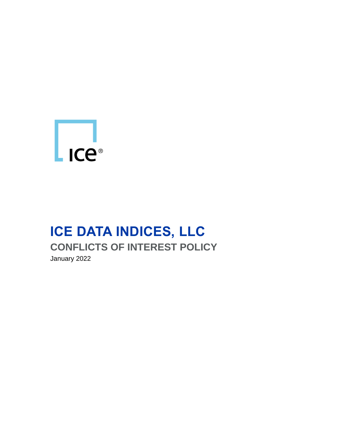

# **ICE DATA INDICES, LLC CONFLICTS OF INTEREST POLICY** January 2022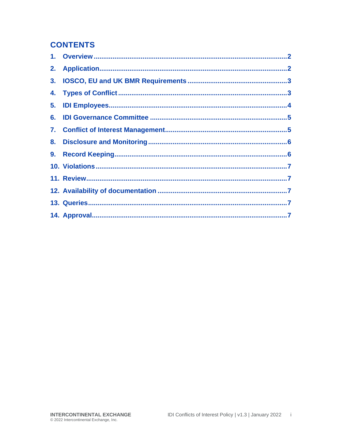#### **CONTENTS**

| 3 <sub>1</sub> |  |
|----------------|--|
|                |  |
|                |  |
|                |  |
|                |  |
|                |  |
|                |  |
|                |  |
|                |  |
|                |  |
|                |  |
|                |  |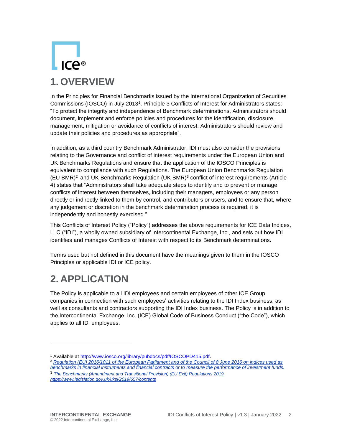# $ICP^{\circledR}$ **1. OVERVIEW**

<span id="page-2-0"></span>In the Principles for Financial Benchmarks issued by the International Organization of Securities Commissions (IOSCO) in July 2013<sup>1</sup> , Principle 3 Conflicts of Interest for Administrators states: "To protect the integrity and independence of Benchmark determinations, Administrators should document, implement and enforce policies and procedures for the identification, disclosure, management, mitigation or avoidance of conflicts of interest. Administrators should review and update their policies and procedures as appropriate".

In addition, as a third country Benchmark Administrator, IDI must also consider the provisions relating to the Governance and conflict of interest requirements under the European Union and UK Benchmarks Regulations and ensure that the application of the IOSCO Principles is equivalent to compliance with such Regulations. The European Union Benchmarks Regulation (EU BMR)<sup>2</sup> and UK Benchmarks Regulation (UK BMR)<sup>3</sup> conflict of interest requirements (Article 4) states that "Administrators shall take adequate steps to identify and to prevent or manage conflicts of interest between themselves, including their managers, employees or any person directly or indirectly linked to them by control, and contributors or users, and to ensure that, where any judgement or discretion in the benchmark determination process is required, it is independently and honestly exercised."

This Conflicts of Interest Policy ("Policy") addresses the above requirements for ICE Data Indices, LLC ("IDI"), a wholly owned subsidiary of Intercontinental Exchange, Inc., and sets out how IDI identifies and manages Conflicts of Interest with respect to its Benchmark determinations.

Terms used but not defined in this document have the meanings given to them in the IOSCO Principles or applicable IDI or ICE policy.

# <span id="page-2-1"></span>**2. APPLICATION**

The Policy is applicable to all IDI employees and certain employees of other ICE Group companies in connection with such employees' activities relating to the IDI Index business, as well as consultants and contractors supporting the IDI Index business. The Policy is in addition to the Intercontinental Exchange, Inc. (ICE) Global Code of Business Conduct ("the Code"), which applies to all IDI employees.

- <sup>2</sup> *[Regulation \(EU\) 2016/1011 of the European Parliament and of the Council of 8 June 2016 on indices used as](https://eur-lex.europa.eu/legal-content/EN/TXT/?uri=CELEX%3A32016R1011)  [benchmarks in financial instruments and financial contracts or to](https://eur-lex.europa.eu/legal-content/EN/TXT/?uri=CELEX%3A32016R1011) measure the performance of investment funds.*
- <sup>3</sup> *The Benchmarks (Amendment and Transitional Provision) (EU Exit) Regulations 2019 <https://www.legislation.gov.uk/uksi/2019/657/contents>*

<sup>1</sup> Available at [http://www.iosco.org/library/pubdocs/pdf/IOSCOPD415.pdf.](http://www.iosco.org/library/pubdocs/pdf/IOSCOPD415.pdf)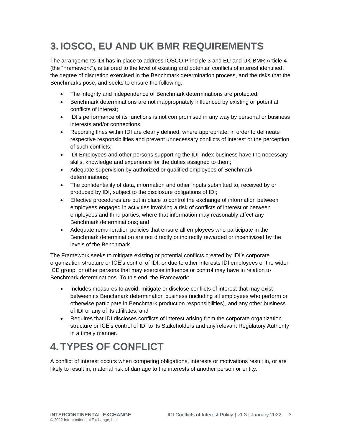# <span id="page-3-0"></span>**3. IOSCO, EU AND UK BMR REQUIREMENTS**

The arrangements IDI has in place to address IOSCO Principle 3 and EU and UK BMR Article 4 (the "Framework"), is tailored to the level of existing and potential conflicts of interest identified, the degree of discretion exercised in the Benchmark determination process, and the risks that the Benchmarks pose, and seeks to ensure the following:

- The integrity and independence of Benchmark determinations are protected;
- Benchmark determinations are not inappropriately influenced by existing or potential conflicts of interest;
- IDI's performance of its functions is not compromised in any way by personal or business interests and/or connections;
- Reporting lines within IDI are clearly defined, where appropriate, in order to delineate respective responsibilities and prevent unnecessary conflicts of interest or the perception of such conflicts;
- IDI Employees and other persons supporting the IDI Index business have the necessary skills, knowledge and experience for the duties assigned to them;
- Adequate supervision by authorized or qualified employees of Benchmark determinations;
- The confidentiality of data, information and other inputs submitted to, received by or produced by IDI, subject to the disclosure obligations of IDI;
- Effective procedures are put in place to control the exchange of information between employees engaged in activities involving a risk of conflicts of interest or between employees and third parties, where that information may reasonably affect any Benchmark determinations; and
- Adequate remuneration policies that ensure all employees who participate in the Benchmark determination are not directly or indirectly rewarded or incentivized by the levels of the Benchmark.

The Framework seeks to mitigate existing or potential conflicts created by IDI's corporate organization structure or ICE's control of IDI, or due to other interests IDI employees or the wider ICE group, or other persons that may exercise influence or control may have in relation to Benchmark determinations. To this end, the Framework:

- Includes measures to avoid, mitigate or disclose conflicts of interest that may exist between its Benchmark determination business (including all employees who perform or otherwise participate in Benchmark production responsibilities), and any other business of IDI or any of its affiliates; and
- Requires that IDI discloses conflicts of interest arising from the corporate organization structure or ICE's control of IDI to its Stakeholders and any relevant Regulatory Authority in a timely manner.

# <span id="page-3-1"></span>**4. TYPES OF CONFLICT**

A conflict of interest occurs when competing obligations, interests or motivations result in, or are likely to result in, material risk of damage to the interests of another person or entity.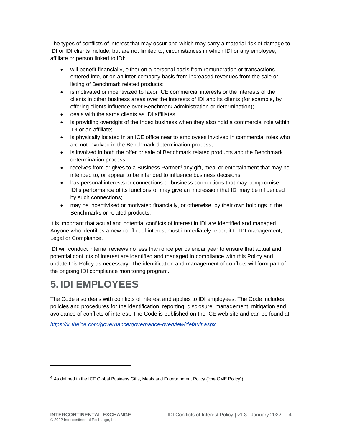The types of conflicts of interest that may occur and which may carry a material risk of damage to IDI or IDI clients include, but are not limited to, circumstances in which IDI or any employee, affiliate or person linked to IDI:

- will benefit financially, either on a personal basis from remuneration or transactions entered into, or on an inter-company basis from increased revenues from the sale or listing of Benchmark related products;
- is motivated or incentivized to favor ICE commercial interests or the interests of the clients in other business areas over the interests of IDI and its clients (for example, by offering clients influence over Benchmark administration or determination);
- deals with the same clients as IDI affiliates;
- is providing oversight of the Index business when they also hold a commercial role within IDI or an affiliate;
- is physically located in an ICE office near to employees involved in commercial roles who are not involved in the Benchmark determination process;
- is involved in both the offer or sale of Benchmark related products and the Benchmark determination process;
- receives from or gives to a Business Partner<sup>4</sup> any gift, meal or entertainment that may be intended to, or appear to be intended to influence business decisions;
- has personal interests or connections or business connections that may compromise IDI's performance of its functions or may give an impression that IDI may be influenced by such connections;
- may be incentivised or motivated financially, or otherwise, by their own holdings in the Benchmarks or related products.

It is important that actual and potential conflicts of interest in IDI are identified and managed. Anyone who identifies a new conflict of interest must immediately report it to IDI management, Legal or Compliance.

IDI will conduct internal reviews no less than once per calendar year to ensure that actual and potential conflicts of interest are identified and managed in compliance with this Policy and update this Policy as necessary. The identification and management of conflicts will form part of the ongoing IDI compliance monitoring program.

#### <span id="page-4-0"></span>**5. IDI EMPLOYEES**

The Code also deals with conflicts of interest and applies to IDI employees. The Code includes policies and procedures for the identification, reporting, disclosure, management, mitigation and avoidance of conflicts of interest. The Code is published on the ICE web site and can be found at:

*<https://ir.theice.com/governance/governance-overview/default.aspx>*

 $<sup>4</sup>$  As defined in the ICE Global Business Gifts, Meals and Entertainment Policy ("the GME Policy")</sup>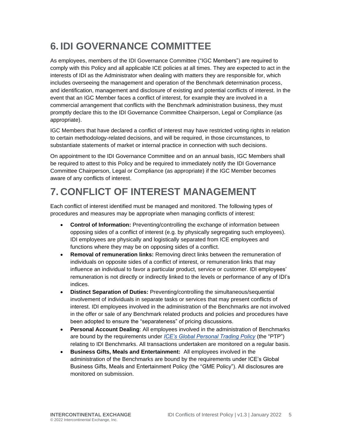### <span id="page-5-0"></span>**6. IDI GOVERNANCE COMMITTEE**

As employees, members of the IDI Governance Committee ("IGC Members") are required to comply with this Policy and all applicable ICE policies at all times. They are expected to act in the interests of IDI as the Administrator when dealing with matters they are responsible for, which includes overseeing the management and operation of the Benchmark determination process, and identification, management and disclosure of existing and potential conflicts of interest. In the event that an IGC Member faces a conflict of interest, for example they are involved in a commercial arrangement that conflicts with the Benchmark administration business, they must promptly declare this to the IDI Governance Committee Chairperson, Legal or Compliance (as appropriate).

IGC Members that have declared a conflict of interest may have restricted voting rights in relation to certain methodology-related decisions, and will be required, in those circumstances, to substantiate statements of market or internal practice in connection with such decisions.

On appointment to the IDI Governance Committee and on an annual basis, IGC Members shall be required to attest to this Policy and be required to immediately notify the IDI Governance Committee Chairperson, Legal or Compliance (as appropriate) if the IGC Member becomes aware of any conflicts of interest.

## <span id="page-5-1"></span>**7. CONFLICT OF INTEREST MANAGEMENT**

Each conflict of interest identified must be managed and monitored. The following types of procedures and measures may be appropriate when managing conflicts of interest:

- **Control of Information:** Preventing/controlling the exchange of information between opposing sides of a conflict of interest (e.g. by physically segregating such employees). IDI employees are physically and logistically separated from ICE employees and functions where they may be on opposing sides of a conflict.
- **Removal of remuneration links:** Removing direct links between the remuneration of individuals on opposite sides of a conflict of interest, or remuneration links that may influence an individual to favor a particular product, service or customer. IDI employees' remuneration is not directly or indirectly linked to the levels or performance of any of IDI's indices.
- **Distinct Separation of Duties:** Preventing/controlling the simultaneous/sequential involvement of individuals in separate tasks or services that may present conflicts of interest. IDI employees involved in the administration of the Benchmarks are not involved in the offer or sale of any Benchmark related products and policies and procedures have been adopted to ensure the "separateness" of pricing discussions.
- **Personal Account Dealing**: All employees involved in the administration of Benchmarks are bound by the requirements under *[ICE's Global Personal Trading Policy](https://workspace.cpex.com/Compliance/WikiPages/CompliancePolicies.aspx)* (the "PTP") relating to IDI Benchmarks. All transactions undertaken are monitored on a regular basis.
- **Business Gifts, Meals and Entertainment:** All employees involved in the administration of the Benchmarks are bound by the requirements under ICE's Global Business Gifts, Meals and Entertainment Policy (the "GME Policy"). All disclosures are monitored on submission.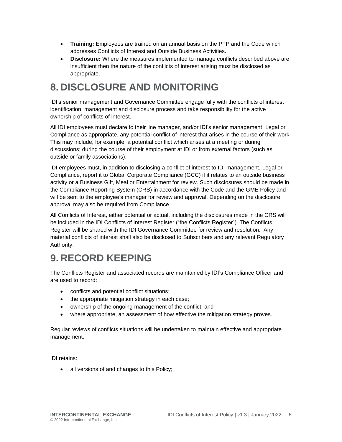- **Training:** Employees are trained on an annual basis on the PTP and the Code which addresses Conflicts of Interest and Outside Business Activities.
- **Disclosure:** Where the measures implemented to manage conflicts described above are insufficient then the nature of the conflicts of interest arising must be disclosed as appropriate.

#### <span id="page-6-0"></span>**8. DISCLOSURE AND MONITORING**

IDI's senior management and Governance Committee engage fully with the conflicts of interest identification, management and disclosure process and take responsibility for the active ownership of conflicts of interest.

All IDI employees must declare to their line manager, and/or IDI's senior management, Legal or Compliance as appropriate, any potential conflict of interest that arises in the course of their work. This may include, for example, a potential conflict which arises at a meeting or during discussions; during the course of their employment at IDI or from external factors (such as outside or family associations).

IDI employees must, in addition to disclosing a conflict of interest to IDI management, Legal or Compliance, report it to Global Corporate Compliance (GCC) if it relates to an outside business activity or a Business Gift, Meal or Entertainment for review. Such disclosures should be made in the Compliance Reporting System (CRS) in accordance with the Code and the GME Policy and will be sent to the employee's manager for review and approval. Depending on the disclosure, approval may also be required from Compliance.

All Conflicts of Interest, either potential or actual, including the disclosures made in the CRS will be included in the IDI Conflicts of Interest Register ("the Conflicts Register"). The Conflicts Register will be shared with the IDI Governance Committee for review and resolution. Any material conflicts of interest shall also be disclosed to Subscribers and any relevant Regulatory Authority.

### <span id="page-6-1"></span>**9. RECORD KEEPING**

The Conflicts Register and associated records are maintained by IDI's Compliance Officer and are used to record:

- conflicts and potential conflict situations;
- the appropriate mitigation strategy in each case;
- ownership of the ongoing management of the conflict, and
- where appropriate, an assessment of how effective the mitigation strategy proves.

Regular reviews of conflicts situations will be undertaken to maintain effective and appropriate management.

IDI retains:

• all versions of and changes to this Policy;